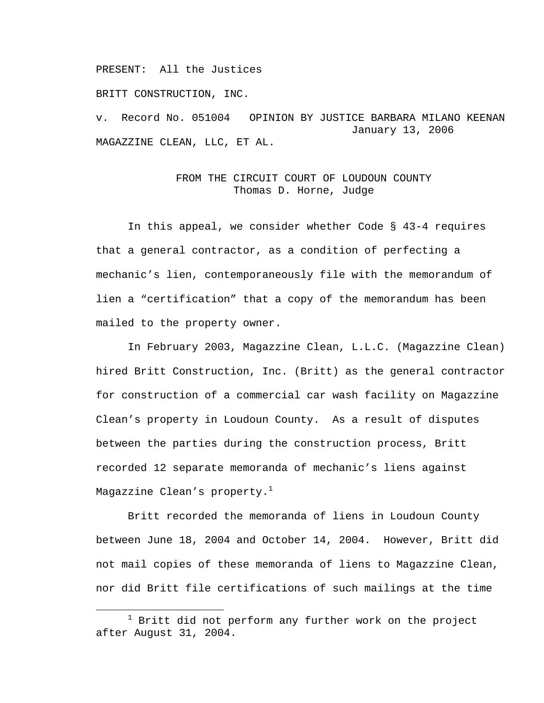PRESENT: All the Justices

BRITT CONSTRUCTION, INC.

v. Record No. 051004 OPINION BY JUSTICE BARBARA MILANO KEENAN January 13, 2006 MAGAZZINE CLEAN, LLC, ET AL.

## FROM THE CIRCUIT COURT OF LOUDOUN COUNTY Thomas D. Horne, Judge

In this appeal, we consider whether Code § 43-4 requires that a general contractor, as a condition of perfecting a mechanic's lien, contemporaneously file with the memorandum of lien a "certification" that a copy of the memorandum has been mailed to the property owner.

In February 2003, Magazzine Clean, L.L.C. (Magazzine Clean) hired Britt Construction, Inc. (Britt) as the general contractor for construction of a commercial car wash facility on Magazzine Clean's property in Loudoun County. As a result of disputes between the parties during the construction process, Britt recorded 12 separate memoranda of mechanic's liens against Magazzine Clean's property. $<sup>1</sup>$ </sup>

Britt recorded the memoranda of liens in Loudoun County between June 18, 2004 and October 14, 2004. However, Britt did not mail copies of these memoranda of liens to Magazzine Clean, nor did Britt file certifications of such mailings at the time

<sup>1</sup>  $1$  Britt did not perform any further work on the project after August 31, 2004.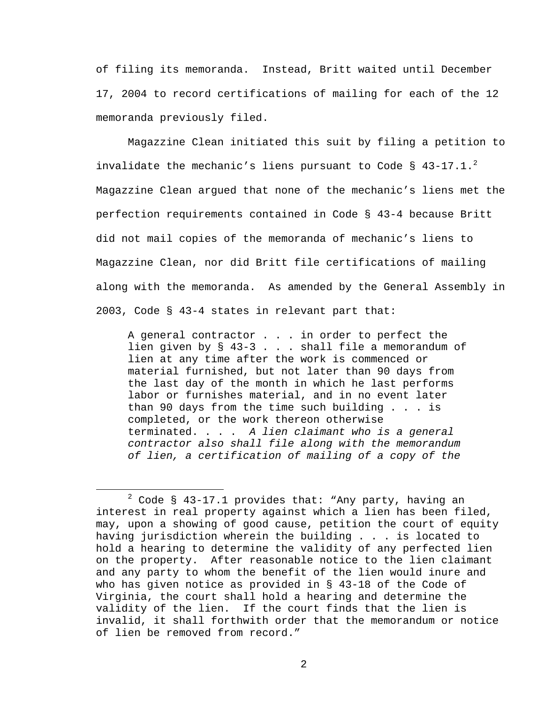of filing its memoranda. Instead, Britt waited until December 17, 2004 to record certifications of mailing for each of the 12 memoranda previously filed.

Magazzine Clean initiated this suit by filing a petition to invalidate the mechanic's liens pursuant to Code § 43-17.1. $^{2}$ Magazzine Clean argued that none of the mechanic's liens met the perfection requirements contained in Code § 43-4 because Britt did not mail copies of the memoranda of mechanic's liens to Magazzine Clean, nor did Britt file certifications of mailing along with the memoranda. As amended by the General Assembly in 2003, Code § 43-4 states in relevant part that:

A general contractor . . . in order to perfect the lien given by § 43-3 . . . shall file a memorandum of lien at any time after the work is commenced or material furnished, but not later than 90 days from the last day of the month in which he last performs labor or furnishes material, and in no event later than 90 days from the time such building . . . is completed, or the work thereon otherwise terminated. . . . *A lien claimant who is a general contractor also shall file along with the memorandum of lien, a certification of mailing of a copy of the* 

<sup>2</sup>  $2$  Code § 43-17.1 provides that: "Any party, having an interest in real property against which a lien has been filed, may, upon a showing of good cause, petition the court of equity having jurisdiction wherein the building . . . is located to hold a hearing to determine the validity of any perfected lien on the property. After reasonable notice to the lien claimant and any party to whom the benefit of the lien would inure and who has given notice as provided in § 43-18 of the Code of Virginia, the court shall hold a hearing and determine the validity of the lien. If the court finds that the lien is invalid, it shall forthwith order that the memorandum or notice of lien be removed from record."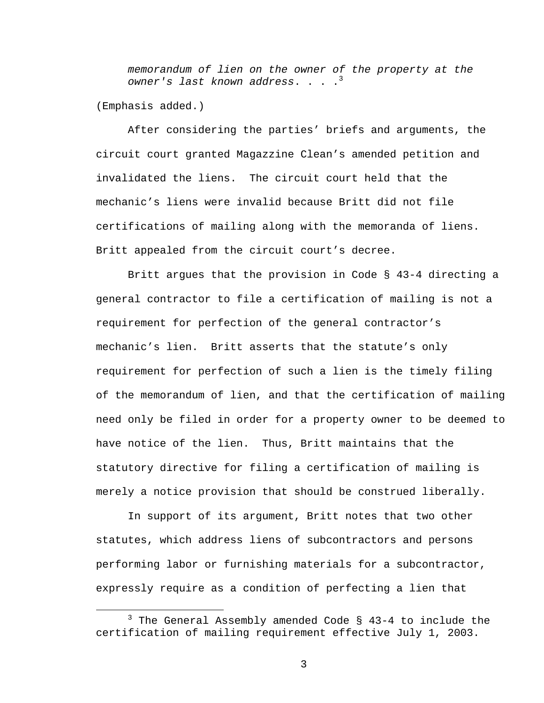*memorandum of lien on the owner of the property at the owner's last known address*. . . .<sup>3</sup>

(Emphasis added.)

After considering the parties' briefs and arguments, the circuit court granted Magazzine Clean's amended petition and invalidated the liens. The circuit court held that the mechanic's liens were invalid because Britt did not file certifications of mailing along with the memoranda of liens. Britt appealed from the circuit court's decree.

Britt argues that the provision in Code § 43-4 directing a general contractor to file a certification of mailing is not a requirement for perfection of the general contractor's mechanic's lien. Britt asserts that the statute's only requirement for perfection of such a lien is the timely filing of the memorandum of lien, and that the certification of mailing need only be filed in order for a property owner to be deemed to have notice of the lien. Thus, Britt maintains that the statutory directive for filing a certification of mailing is merely a notice provision that should be construed liberally.

In support of its argument, Britt notes that two other statutes, which address liens of subcontractors and persons performing labor or furnishing materials for a subcontractor, expressly require as a condition of perfecting a lien that

 $\frac{1}{3}$  $3$  The General Assembly amended Code § 43-4 to include the certification of mailing requirement effective July 1, 2003.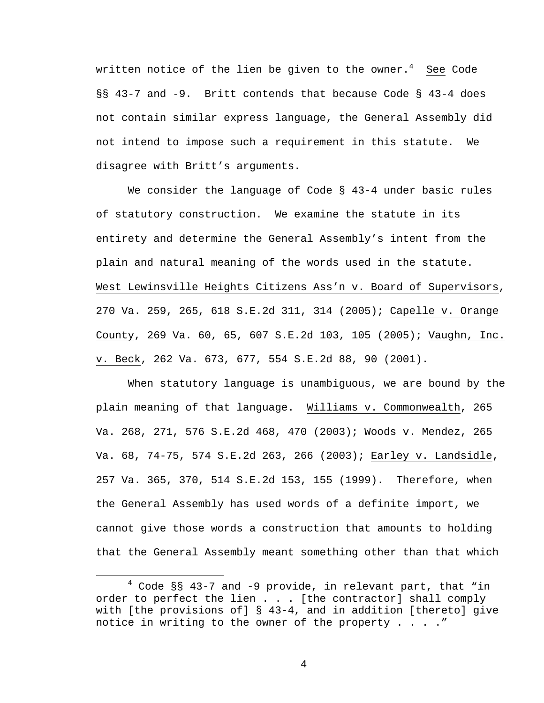written notice of the lien be given to the owner. $^4$   $\,$  See Code  $\,$ §§ 43-7 and -9. Britt contends that because Code § 43-4 does not contain similar express language, the General Assembly did not intend to impose such a requirement in this statute. We disagree with Britt's arguments.

We consider the language of Code § 43-4 under basic rules of statutory construction. We examine the statute in its entirety and determine the General Assembly's intent from the plain and natural meaning of the words used in the statute. West Lewinsville Heights Citizens Ass'n v. Board of Supervisors, 270 Va. 259, 265, 618 S.E.2d 311, 314 (2005); Capelle v. Orange County, 269 Va. 60, 65, 607 S.E.2d 103, 105 (2005); Vaughn, Inc. v. Beck, 262 Va. 673, 677, 554 S.E.2d 88, 90 (2001).

When statutory language is unambiguous, we are bound by the plain meaning of that language. Williams v. Commonwealth, 265 Va. 268, 271, 576 S.E.2d 468, 470 (2003); Woods v. Mendez, 265 Va. 68, 74-75, 574 S.E.2d 263, 266 (2003); Earley v. Landsidle, 257 Va. 365, 370, 514 S.E.2d 153, 155 (1999). Therefore, when the General Assembly has used words of a definite import, we cannot give those words a construction that amounts to holding that the General Assembly meant something other than that which

 $\overline{4}$  $4$  Code §§ 43-7 and -9 provide, in relevant part, that "in order to perfect the lien . . . [the contractor] shall comply with [the provisions of] § 43-4, and in addition [thereto] give notice in writing to the owner of the property . . . ."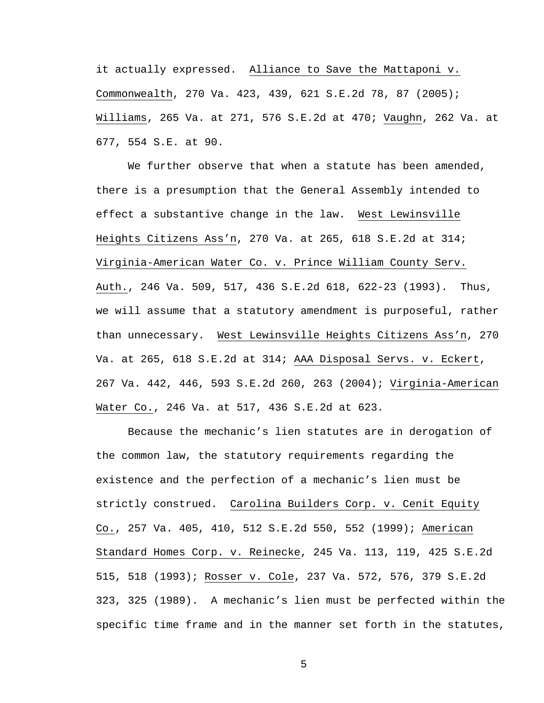it actually expressed. Alliance to Save the Mattaponi v. Commonwealth, 270 Va. 423, 439, 621 S.E.2d 78, 87 (2005); Williams, 265 Va. at 271, 576 S.E.2d at 470; Vaughn, 262 Va. at 677, 554 S.E. at 90.

We further observe that when a statute has been amended, there is a presumption that the General Assembly intended to effect a substantive change in the law. West Lewinsville Heights Citizens Ass'n, 270 Va. at 265, 618 S.E.2d at 314; Virginia-American Water Co. v. Prince William County Serv. Auth., 246 Va. 509, 517, 436 S.E.2d 618, 622-23 (1993). Thus, we will assume that a statutory amendment is purposeful, rather than unnecessary. West Lewinsville Heights Citizens Ass'n, 270 Va. at 265, 618 S.E.2d at 314; AAA Disposal Servs. v. Eckert, 267 Va. 442, 446, 593 S.E.2d 260, 263 (2004); Virginia-American Water Co., 246 Va. at 517, 436 S.E.2d at 623.

Because the mechanic's lien statutes are in derogation of the common law, the statutory requirements regarding the existence and the perfection of a mechanic's lien must be strictly construed. Carolina Builders Corp. v. Cenit Equity Co., 257 Va. 405, 410, 512 S.E.2d 550, 552 (1999); American Standard Homes Corp. v. Reinecke, 245 Va. 113, 119, 425 S.E.2d 515, 518 (1993); Rosser v. Cole, 237 Va. 572, 576, 379 S.E.2d 323, 325 (1989). A mechanic's lien must be perfected within the specific time frame and in the manner set forth in the statutes,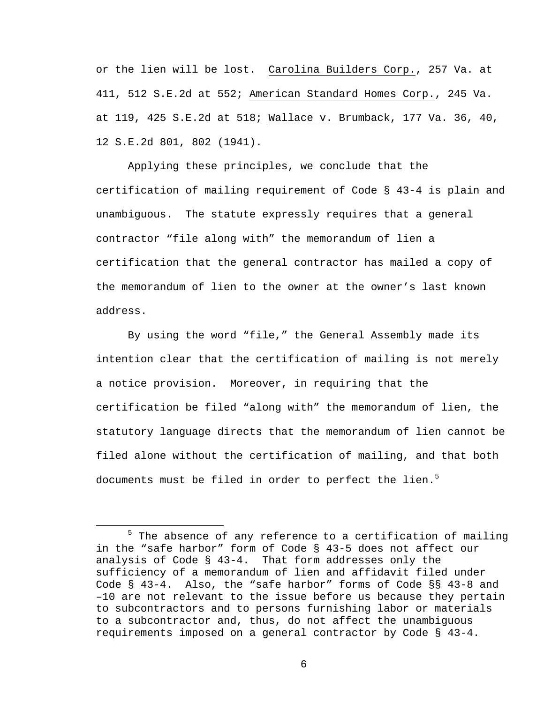or the lien will be lost. Carolina Builders Corp., 257 Va. at 411, 512 S.E.2d at 552; American Standard Homes Corp., 245 Va. at 119, 425 S.E.2d at 518; Wallace v. Brumback, 177 Va. 36, 40, 12 S.E.2d 801, 802 (1941).

Applying these principles, we conclude that the certification of mailing requirement of Code § 43-4 is plain and unambiguous. The statute expressly requires that a general contractor "file along with" the memorandum of lien a certification that the general contractor has mailed a copy of the memorandum of lien to the owner at the owner's last known address.

By using the word "file," the General Assembly made its intention clear that the certification of mailing is not merely a notice provision. Moreover, in requiring that the certification be filed "along with" the memorandum of lien, the statutory language directs that the memorandum of lien cannot be filed alone without the certification of mailing, and that both documents must be filed in order to perfect the lien. $5$ 

 $\frac{1}{5}$  $5$  The absence of any reference to a certification of mailing in the "safe harbor" form of Code § 43-5 does not affect our analysis of Code § 43-4. That form addresses only the sufficiency of a memorandum of lien and affidavit filed under Code § 43-4. Also, the "safe harbor" forms of Code §§ 43-8 and –10 are not relevant to the issue before us because they pertain to subcontractors and to persons furnishing labor or materials to a subcontractor and, thus, do not affect the unambiguous requirements imposed on a general contractor by Code § 43-4.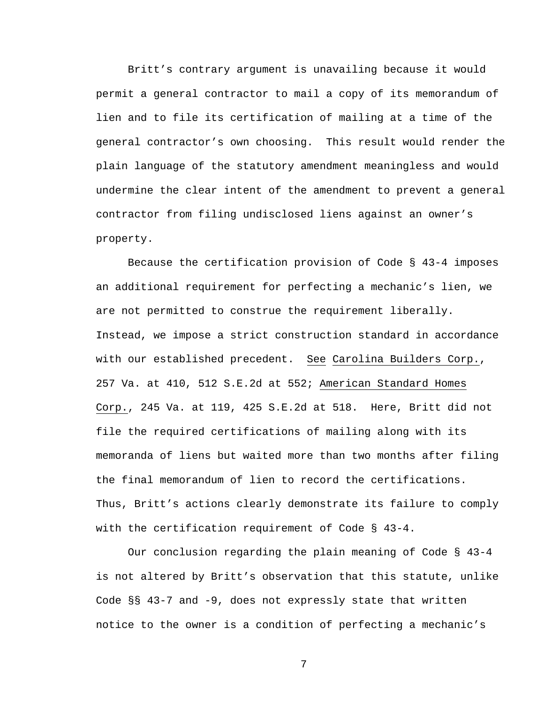Britt's contrary argument is unavailing because it would permit a general contractor to mail a copy of its memorandum of lien and to file its certification of mailing at a time of the general contractor's own choosing. This result would render the plain language of the statutory amendment meaningless and would undermine the clear intent of the amendment to prevent a general contractor from filing undisclosed liens against an owner's property.

Because the certification provision of Code § 43-4 imposes an additional requirement for perfecting a mechanic's lien, we are not permitted to construe the requirement liberally. Instead, we impose a strict construction standard in accordance with our established precedent. See Carolina Builders Corp., 257 Va. at 410, 512 S.E.2d at 552; American Standard Homes Corp., 245 Va. at 119, 425 S.E.2d at 518. Here, Britt did not file the required certifications of mailing along with its memoranda of liens but waited more than two months after filing the final memorandum of lien to record the certifications. Thus, Britt's actions clearly demonstrate its failure to comply with the certification requirement of Code § 43-4.

Our conclusion regarding the plain meaning of Code § 43-4 is not altered by Britt's observation that this statute, unlike Code §§ 43-7 and -9, does not expressly state that written notice to the owner is a condition of perfecting a mechanic's